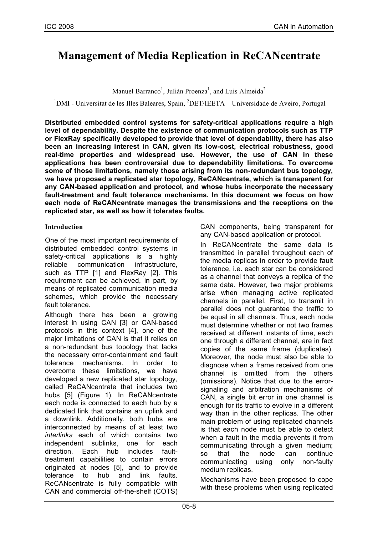# **Management of Media Replication in ReCANcentrate**

Manuel Barranco<sup>1</sup>, Julián Proenza<sup>1</sup>, and Luis Almeida<sup>2</sup>

<sup>1</sup>DMI - Universitat de les Illes Baleares, Spain, <sup>2</sup>DET/IEETA – Universidade de Aveiro, Portugal

**Distributed embedded control systems for safety-critical applications require a high level of dependability. Despite the existence of communication protocols such as TTP or FlexRay specifically developed to provide that level of dependability, there has also been an increasing interest in CAN, given its low-cost, electrical robustness, good real-time properties and widespread use. However, the use of CAN in these applications has been controversial due to dependability limitations. To overcome some of those limitations, namely those arising from its non-redundant bus topology, we have proposed a replicated star topology, ReCANcentrate, which is transparent for any CAN-based application and protocol, and whose hubs incorporate the necessary fault-treatment and fault tolerance mechanisms. In this document we focus on how each node of ReCANcentrate manages the transmissions and the receptions on the replicated star, as well as how it tolerates faults.**

# **Introduction**

One of the most important requirements of distributed embedded control systems in safety-critical applications is a highly reliable communication infrastructure, such as TTP [1] and FlexRay [2]. This requirement can be achieved, in part, by means of replicated communication media schemes, which provide the necessary fault tolerance.

Although there has been a growing interest in using CAN [3] or CAN-based protocols in this context [4], one of the major limitations of CAN is that it relies on a non-redundant bus topology that lacks the necessary error-containment and fault tolerance mechanisms. In order to overcome these limitations, we have developed a new replicated star topology, called ReCANcentrate that includes two hubs [5] (Figure 1). In ReCANcentrate each node is connected to each hub by a dedicated link that contains an uplink and a downlink. Additionally, both hubs are interconnected by means of at least two *interlinks* each of which contains two independent sublinks, one for each direction. Each hub includes faulttreatment capabilities to contain errors originated at nodes [5], and to provide tolerance to hub and link faults. ReCANcentrate is fully compatible with CAN and commercial off-the-shelf (COTS) CAN components, being transparent for any CAN-based application or protocol.

In ReCANcentrate the same data is transmitted in parallel throughout each of the media replicas in order to provide fault tolerance, i.e. each star can be considered as a channel that conveys a replica of the same data. However, two major problems arise when managing active replicated channels in parallel. First, to transmit in parallel does not guarantee the traffic to be equal in all channels. Thus, each node must determine whether or not two frames received at different instants of time, each one through a different channel, are in fact copies of the same frame (duplicates). Moreover, the node must also be able to diagnose when a frame received from one channel is omitted from the others (omissions). Notice that due to the errorsignaling and arbitration mechanisms of CAN, a single bit error in one channel is enough for its traffic to evolve in a different way than in the other replicas. The other main problem of using replicated channels is that each node must be able to detect when a fault in the media prevents it from communicating through a given medium; so that the node can continue communicating using only non-faulty medium replicas.

Mechanisms have been proposed to cope with these problems when using replicated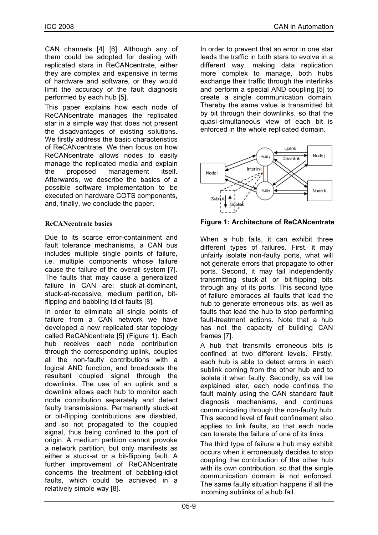CAN channels [4] [6]. Although any of them could be adopted for dealing with replicated stars in ReCANcentrate, either they are complex and expensive in terms of hardware and software, or they would limit the accuracy of the fault diagnosis performed by each hub [5].

This paper explains how each node of ReCANcentrate manages the replicated star in a simple way that does not present the disadvantages of existing solutions. We firstly address the basic characteristics of ReCANcentrate. We then focus on how ReCANcentrate allows nodes to easily manage the replicated media and explain the proposed management itself. Afterwards, we describe the basics of a possible software implementation to be executed on hardware COTS components, and, finally, we conclude the paper.

# **ReCANcentrate basics**

Due to its scarce error-containment and fault tolerance mechanisms, a CAN bus includes multiple single points of failure, i.e. multiple components whose failure cause the failure of the overall system [7]. The faults that may cause a generalized failure in CAN are: stuck-at-dominant, stuck-at-recessive, medium partition, bitflipping and babbling idiot faults [8].

In order to eliminate all single points of failure from a CAN network we have developed a new replicated star topology called ReCANcentrate [5] (Figure 1). Each hub receives each node contribution through the corresponding uplink, couples all the non-faulty contributions with a logical AND function, and broadcasts the resultant coupled signal through the downlinks. The use of an uplink and a downlink allows each hub to monitor each node contribution separately and detect faulty transmissions. Permanently stuck-at or bit-flipping contributions are disabled, and so not propagated to the coupled signal, thus being confined to the port of origin. A medium partition cannot provoke a network partition, but only manifests as either a stuck-at or a bit-flipping fault. A further improvement of ReCANcentrate concerns the treatment of babbling-idiot faults, which could be achieved in a relatively simple way [8].

In order to prevent that an error in one star leads the traffic in both stars to evolve in a different way, making data replication more complex to manage, both hubs exchange their traffic through the interlinks and perform a special AND coupling [5] to create a single communication domain. Thereby the same value is transmitted bit by bit through their downlinks, so that the quasi-simultaneous view of each bit is enforced in the whole replicated domain.



**Figure 1: Architecture of ReCANcentrate**

When a hub fails, it can exhibit three different types of failures. First, it may unfairly isolate non-faulty ports, what will not generate errors that propagate to other ports. Second, it may fail independently transmitting stuck-at or bit-flipping bits through any of its ports. This second type of failure embraces all faults that lead the hub to generate erroneous bits, as well as faults that lead the hub to stop performing fault-treatment actions. Note that a hub has not the capacity of building CAN frames [7].

A hub that transmits erroneous bits is confined at two different levels. Firstly, each hub is able to detect errors in each sublink coming from the other hub and to isolate it when faulty. Secondly, as will be explained later, each node confines the fault mainly using the CAN standard fault diagnosis mechanisms, and continues communicating through the non-faulty hub. This second level of fault confinement also applies to link faults, so that each node can tolerate the failure of one of its links

The third type of failure a hub may exhibit occurs when it erroneously decides to stop coupling the contribution of the other hub with its own contribution, so that the single communication domain is not enforced. The same faulty situation happens if all the incoming sublinks of a hub fail.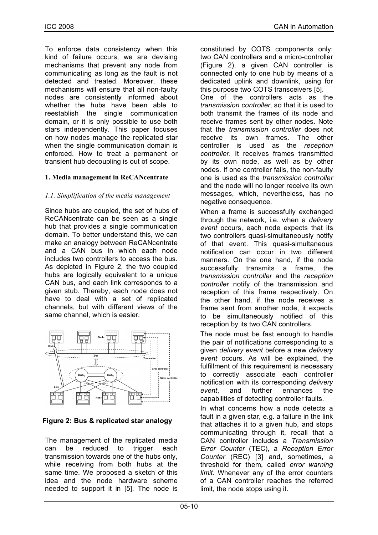To enforce data consistency when this kind of failure occurs, we are devising mechanisms that prevent any node from communicating as long as the fault is not detected and treated. Moreover, these mechanisms will ensure that all non-faulty nodes are consistently informed about whether the hubs have been able to reestablish the single communication domain, or it is only possible to use both stars independently. This paper focuses on how nodes manage the replicated star when the single communication domain is enforced. How to treat a permanent or transient hub decoupling is out of scope.

# **1. Media management in ReCANcentrate**

# *1.1. Simplification of the media management*

Since hubs are coupled, the set of hubs of ReCANcentrate can be seen as a single hub that provides a single communication domain. To better understand this, we can make an analogy between ReCANcentrate and a CAN bus in which each node includes two controllers to access the bus. As depicted in Figure 2, the two coupled hubs are logically equivalent to a unique CAN bus, and each link corresponds to a given stub. Thereby, each node does not have to deal with a set of replicated channels, but with different views of the same channel, which is easier.



**Figure 2: Bus & replicated star analogy**

The management of the replicated media can be reduced to trigger each transmission towards one of the hubs only, while receiving from both hubs at the same time. We proposed a sketch of this idea and the node hardware scheme needed to support it in [5]. The node is constituted by COTS components only: two CAN controllers and a micro-controller (Figure 2), a given CAN controller is connected only to one hub by means of a dedicated uplink and downlink, using for this purpose two COTS transceivers [5]. One of the controllers acts as the *transmission controller*, so that it is used to both transmit the frames of its node and receive frames sent by other nodes. Note that the *transmission controller* does not receive its own frames. The other controller is used as the *reception controller*. It receives frames transmitted by its own node, as well as by other nodes. If one controller fails, the non-faulty one is used as the *transmission controller* and the node will no longer receive its own messages, which, nevertheless, has no negative consequence.

When a frame is successfully exchanged through the network, i.e. when a *delivery event* occurs, each node expects that its two controllers quasi-simultaneously notify of that event. This quasi-simultaneous notification can occur in two different manners. On the one hand, if the node successfully transmits a frame, the *transmission controller* and the *reception controller* notify of the transmission and reception of this frame respectively. On the other hand, if the node receives a frame sent from another node, it expects to be simultaneously notified of this reception by its two CAN controllers.

The node must be fast enough to handle the pair of notifications corresponding to a given *delivery event* before a new *delivery event* occurs. As will be explained, the fulfillment of this requirement is necessary to correctly associate each controller notification with its corresponding *delivery event*, and further enhances the capabilities of detecting controller faults.

In what concerns how a node detects a fault in a given star, e.g. a failure in the link that attaches it to a given hub, and stops communicating through it, recall that a CAN controller includes a *Transmission Error Counter* (TEC), a *Reception Error Counter* (REC) [3] and, sometimes, a threshold for them, called *error warning limit*. Whenever any of the error counters of a CAN controller reaches the referred limit, the node stops using it.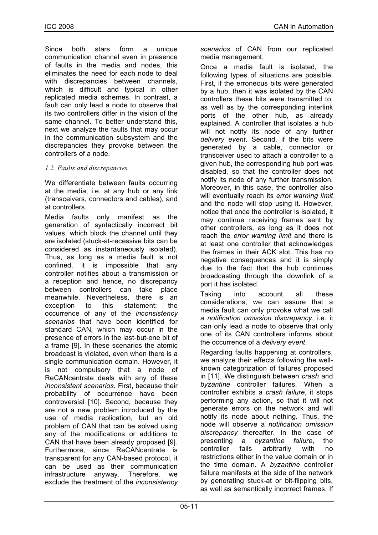Since both stars form a unique communication channel even in presence of faults in the media and nodes, this eliminates the need for each node to deal with discrepancies between channels, which is difficult and typical in other replicated media schemes. In contrast, a fault can only lead a node to observe that its two controllers differ in the vision of the same channel. To better understand this, next we analyze the faults that may occur in the communication subsystem and the discrepancies they provoke between the controllers of a node.

# *1.2. Faults and discrepancies*

We differentiate between faults occurring at the media, i.e. at any hub or any link (transceivers, connectors and cables), and at controllers.

Media faults only manifest as the generation of syntactically incorrect bit values, which block the channel until they are isolated (stuck-at-recessive bits can be considered as instantaneously isolated). Thus, as long as a media fault is not confined, it is impossible that any controller notifies about a transmission or a reception and hence, no discrepancy between controllers can take place meanwhile. Nevertheless, there is an exception to this statement: the occurrence of any of the *inconsistency scenarios* that have been identified for standard CAN, which may occur in the presence of errors in the last-but-one bit of a frame [9]. In these scenarios the atomic broadcast is violated, even when there is a single communication domain. However, it is not compulsory that a node of ReCANcentrate deals with any of these *inconsistent scenarios*. First, because their probability of occurrence have been controversial [10]. Second, because they are not a new problem introduced by the use of media replication, but an old problem of CAN that can be solved using any of the modifications or additions to CAN that have been already proposed [9]. Furthermore, since ReCANcentrate is transparent for any CAN-based protocol, it can be used as their communication infrastructure anyway. Therefore, we exclude the treatment of the *inconsistency* *scenarios* of CAN from our replicated media management.

Once a media fault is isolated, the following types of situations are possible. First, if the erroneous bits were generated by a hub, then it was isolated by the CAN controllers these bits were transmitted to, as well as by the corresponding interlink ports of the other hub, as already explained. A controller that isolates a hub will not notify its node of any further *delivery event*. Second, if the bits were generated by a cable, connector or transceiver used to attach a controller to a given hub, the corresponding hub port was disabled, so that the controller does not notify its node of any further transmission. Moreover, in this case, the controller also will eventually reach its *error warning limit* and the node will stop using it. However, notice that once the controller is isolated, it may continue receiving frames sent by other controllers, as long as it does not reach the *error warning limit* and there is at least one controller that acknowledges the frames in their ACK slot. This has no negative consequences and it is simply due to the fact that the hub continues broadcasting through the downlink of a port it has isolated.

Taking into account all these considerations, we can assure that a media fault can only provoke what we call a *notification omission discrepancy*, i.e. it can only lead a node to observe that only one of its CAN controllers informs about the occurrence of a *delivery event*.

Regarding faults happening at controllers, we analyze their effects following the wellknown categorization of failures proposed in [11]. We distinguish between *crash* and *byzantine* controller failures. When a controller exhibits a *crash failure*, it stops performing any action, so that it will not generate errors on the network and will notify its node about nothing. Thus, the node will observe a *notification omission discrepancy* thereafter. In the case of presenting a *byzantine failure*, the controller fails arbitrarily with no restrictions either in the value domain or in the time domain. A *byzantine* controller failure manifests at the side of the network by generating stuck-at or bit-flipping bits, as well as semantically incorrect frames. If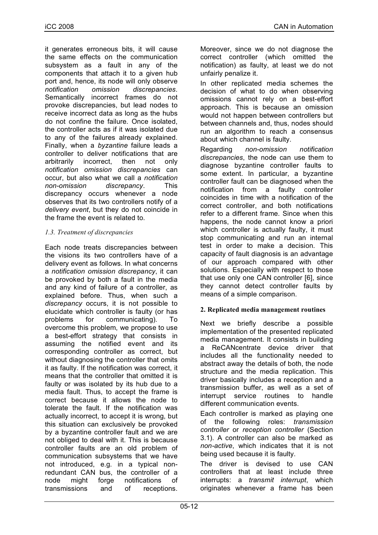it generates erroneous bits, it will cause the same effects on the communication subsystem as a fault in any of the components that attach it to a given hub port and, hence, its node will only observe *notification omission discrepancies*. Semantically incorrect frames do not provoke discrepancies, but lead nodes to receive incorrect data as long as the hubs do not confine the failure. Once isolated, the controller acts as if it was isolated due to any of the failures already explained. Finally, when a *byzantine* failure leads a controller to deliver notifications that are arbitrarily incorrect, then not only *notification omission discrepancies* can occur, but also what we call a *notification non-omission discrepancy*. This discrepancy occurs whenever a node observes that its two controllers notify of a *delivery event*, but they do not coincide in the frame the event is related to.

# *1.3. Treatment of discrepancies*

Each node treats discrepancies between the visions its two controllers have of a delivery event as follows. In what concerns a *notification omission discrepancy*, it can be provoked by both a fault in the media and any kind of failure of a controller, as explained before. Thus, when such a *discrepancy* occurs, it is not possible to elucidate which controller is faulty (or has problems for communicating). To overcome this problem, we propose to use a best-effort strategy that consists in assuming the notified event and its corresponding controller as correct, but without diagnosing the controller that omits it as faulty. If the notification was correct, it means that the controller that omitted it is faulty or was isolated by its hub due to a media fault. Thus, to accept the frame is correct because it allows the node to tolerate the fault. If the notification was actually incorrect, to accept it is wrong, but this situation can exclusively be provoked by a byzantine controller fault and we are not obliged to deal with it. This is because controller faults are an old problem of communication subsystems that we have not introduced, e.g. in a typical nonredundant CAN bus, the controller of a node might forge notifications of transmissions and of receptions.

Moreover, since we do not diagnose the correct controller (which omitted the notification) as faulty, at least we do not unfairly penalize it.

In other replicated media schemes the decision of what to do when observing omissions cannot rely on a best-effort approach. This is because an omission would not happen between controllers but between channels and, thus, nodes should run an algorithm to reach a consensus about which channel is faulty.

Regarding *non-omission notification discrepancies*, the node can use them to diagnose byzantine controller faults to some extent. In particular, a byzantine controller fault can be diagnosed when the notification from a faulty controller coincides in time with a notification of the correct controller, and both notifications refer to a different frame. Since when this happens, the node cannot know a priori which controller is actually faulty, it must stop communicating and run an internal test in order to make a decision. This capacity of fault diagnosis is an advantage of our approach compared with other solutions. Especially with respect to those that use only one CAN controller [6], since they cannot detect controller faults by means of a simple comparison.

# **2. Replicated media management routines**

Next we briefly describe a possible implementation of the presented replicated media management. It consists in building a ReCANcentrate device driver that includes all the functionality needed to abstract away the details of both, the node structure and the media replication. This driver basically includes a reception and a transmission buffer, as well as a set of interrupt service routines to handle different communication events.

Each controller is marked as playing one of the following roles: *transmission controller* or *reception controller* (Section 3.1). A controller can also be marked as *non-active*, which indicates that it is not being used because it is faulty.

The driver is devised to use CAN controllers that at least include three interrupts: a *transmit interrupt*, which originates whenever a frame has been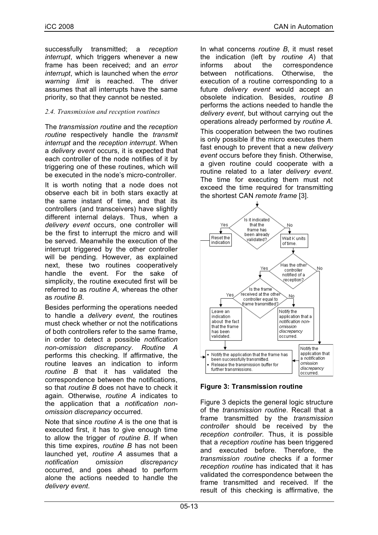successfully transmitted; a *reception interrupt*, which triggers whenever a new frame has been received; and an *error interrupt*, which is launched when the *error warning limit* is reached. The driver assumes that all interrupts have the same priority, so that they cannot be nested.

# *2.4. Transmission and reception routines*

The *transmission routine* and the *reception routine* respectively handle the *transmit interrupt* and the *reception interrupt*. When a *delivery event* occurs, it is expected that each controller of the node notifies of it by triggering one of these routines, which will be executed in the node's micro-controller.

It is worth noting that a node does not observe each bit in both stars exactly at the same instant of time, and that its controllers (and transceivers) have slightly different internal delays. Thus, when a *delivery event* occurs, one controller will be the first to interrupt the micro and will be served. Meanwhile the execution of the interrupt triggered by the other controller will be pending. However, as explained next, these two routines cooperatively handle the event. For the sake of simplicity, the routine executed first will be referred to as *routine A*, whereas the other as *routine B*.

Besides performing the operations needed to handle a *delivery event*, the routines must check whether or not the notifications of both controllers refer to the same frame, in order to detect a possible *notification non-omission discrepancy*. *Routine A* performs this checking. If affirmative, the routine leaves an indication to inform *routine B* that it has validated the correspondence between the notifications, so that *routine B* does not have to check it again. Otherwise, *routine A* indicates to the application that a *notification nonomission discrepancy* occurred.

Note that since *routine A* is the one that is executed first, it has to give enough time to allow the trigger of *routine B*. If when this time expires, *routine B* has not been launched yet, *routine A* assumes that a *notification omission discrepancy* occurred, and goes ahead to perform alone the actions needed to handle the *delivery event*.

In what concerns *routine B*, it must reset the indication (left by *routine A*) that informs about the correspondence between notifications. Otherwise, the execution of a routine corresponding to a future *delivery event* would accept an obsolete indication. Besides, *routine B* performs the actions needed to handle the *delivery event*, but without carrying out the operations already performed by *routine A*. This cooperation between the two routines is only possible if the micro executes them fast enough to prevent that a new *delivery event* occurs before they finish. Otherwise, a given routine could cooperate with a routine related to a later *delivery event*. The time for executing them must not exceed the time required for transmitting the shortest CAN *remote frame* [3].



# **Figure 3: Transmission routine**

Figure 3 depicts the general logic structure of the *transmission routine*. Recall that a frame transmitted by the *transmission controller* should be received by the *reception controller*. Thus, it is possible that a *reception routine* has been triggered and executed before. Therefore, the *transmission routine* checks if a former *reception routine* has indicated that it has validated the correspondence between the frame transmitted and received. If the result of this checking is affirmative, the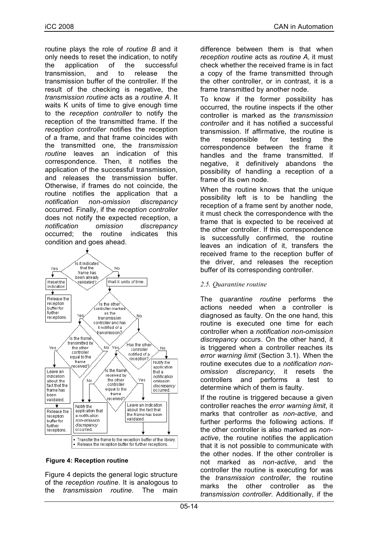routine plays the role of *routine B* and it only needs to reset the indication, to notify the application of the successful transmission, and to release the transmission buffer of the controller. If the result of the checking is negative, the *transmission routine* acts as a *routine A*. It waits K units of time to give enough time to the *reception controller* to notify the reception of the transmitted frame. If the *reception controller* notifies the reception of a frame, and that frame coincides with the transmitted one, the *transmission routine* leaves an indication of this correspondence. Then, it notifies the application of the successful transmission, and releases the transmission buffer. Otherwise, if frames do not coincide, the routine notifies the application that a *notification non-omission discrepancy* occurred. Finally, if the *reception controller* does not notify the expected reception, a *notification omission discrepancy* occurred; the routine indicates this condition and goes ahead.



#### **Figure 4: Reception routine**

Figure 4 depicts the general logic structure of the *reception routine*. It is analogous to the *transmission routine*. The main difference between them is that when *reception routine* acts as *routine A*, it must check whether the received frame is in fact a copy of the frame transmitted through the other controller, or in contrast, it is a frame transmitted by another node.

To know if the former possibility has occurred, the routine inspects if the other controller is marked as the *transmission controller* and it has notified a successful transmission. If affirmative, the routine is the responsible for testing the correspondence between the frame it handles and the frame transmitted. If negative, it definitively abandons the possibility of handling a reception of a frame of its own node.

When the routine knows that the unique possibility left is to be handling the reception of a frame sent by another node, it must check the correspondence with the frame that is expected to be received at the other controller. If this correspondence is successfully confirmed, the routine leaves an indication of it, transfers the received frame to the reception buffer of the driver, and releases the reception buffer of its corresponding controller.

#### *2.5. Quarantine routine*

The *quarantine routine* performs the actions needed when a controller is diagnosed as faulty. On the one hand, this routine is executed one time for each controller when a *notification non-omission discrepancy* occurs. On the other hand, it is triggered when a controller reaches its *error warning limit* (Section 3.1). When the routine executes due to a *notification nonomission discrepancy*, it resets the controllers and performs a test to determine which of them is faulty.

If the routine is triggered because a given controller reaches the *error warning limit*, it marks that controller as *non-active*, and further performs the following actions. If the other controller is also marked as *nonactive*, the routine notifies the application that it is not possible to communicate with the other nodes. If the other controller is not marked as *non-active*, and the controller the routine is executing for was the *transmission controller*, the routine marks the other controller as the *transmission controller*. Additionally, if the